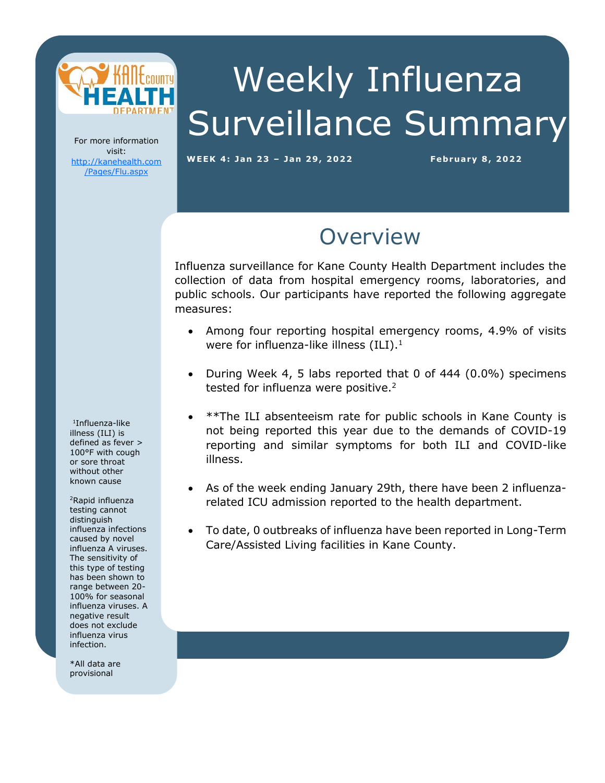

Weekly Influenza Surveillance Summary

For more information visit: [http://kanehealth.com](http://kanehealth.com/Pages/Flu.aspx) [/Pages/Flu.aspx](http://kanehealth.com/Pages/Flu.aspx)

**WEEK 4: Ja n 2 3 – Ja n 29, 2 0 2 2 February 8, 2 0 22**

data that make this monitoring possible.

## **Overview**

Influenza surveillance for Kane County Health Department includes the collection of data from hospital emergency rooms, laboratories, and public schools. Our participants have reported the following aggregate measures:

- Among four reporting hospital emergency rooms, 4.9% of visits were for influenza-like illness  $(ILI).<sup>1</sup>$
- During Week 4, 5 labs reported that 0 of 444 (0.0%) specimens tested for influenza were positive.<sup>2</sup>
- \*\*The ILI absenteeism rate for public schools in Kane County is not being reported this year due to the demands of COVID-19 reporting and similar symptoms for both ILI and COVID-like illness.
- As of the week ending January 29th, there have been 2 influenzarelated ICU admission reported to the health department.
- To date, 0 outbreaks of influenza have been reported in Long-Term Care/Assisted Living facilities in Kane County.

1 Influenza-like illness (ILI) is defined as fever > 100°F with cough or sore throat without other known cause

<sup>2</sup>Rapid influenza testing cannot distinguish influenza infections caused by novel influenza A viruses. The sensitivity of this type of testing has been shown to range between 20- 100% for seasonal influenza viruses. A negative result does not exclude influenza virus infection.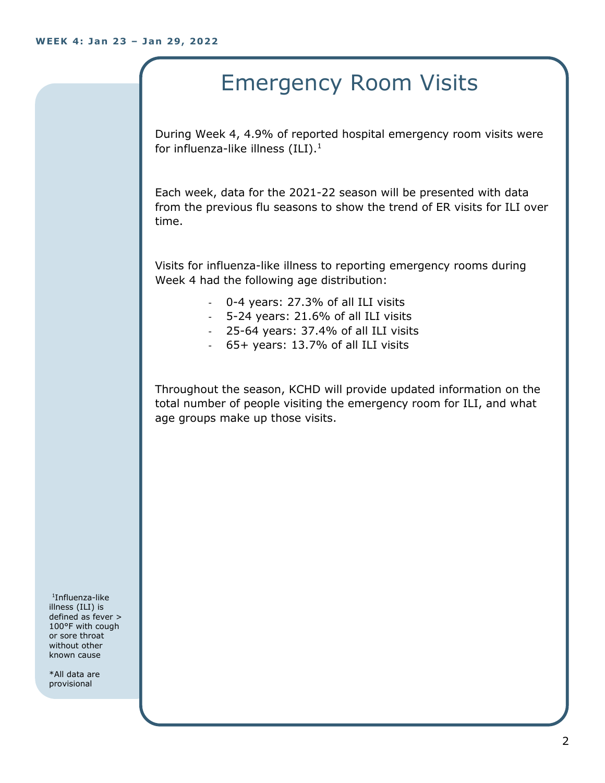## Emergency Room Visits

During Week 4, 4.9% of reported hospital emergency room visits were for influenza-like illness  $(III).<sup>1</sup>$ 

Each week, data for the 2021-22 season will be presented with data from the previous flu seasons to show the trend of ER visits for ILI over time.

Visits for influenza-like illness to reporting emergency rooms during Week 4 had the following age distribution:

- 0-4 years: 27.3% of all ILI visits
- 5-24 years: 21.6% of all ILI visits
- 25-64 years: 37.4% of all ILI visits
- 65+ years: 13.7% of all ILI visits

Throughout the season, KCHD will provide updated information on the total number of people visiting the emergency room for ILI, and what age groups make up those visits.

1 Influenza-like illness (ILI) is defined as fever > 100°F with cough or sore throat without other known cause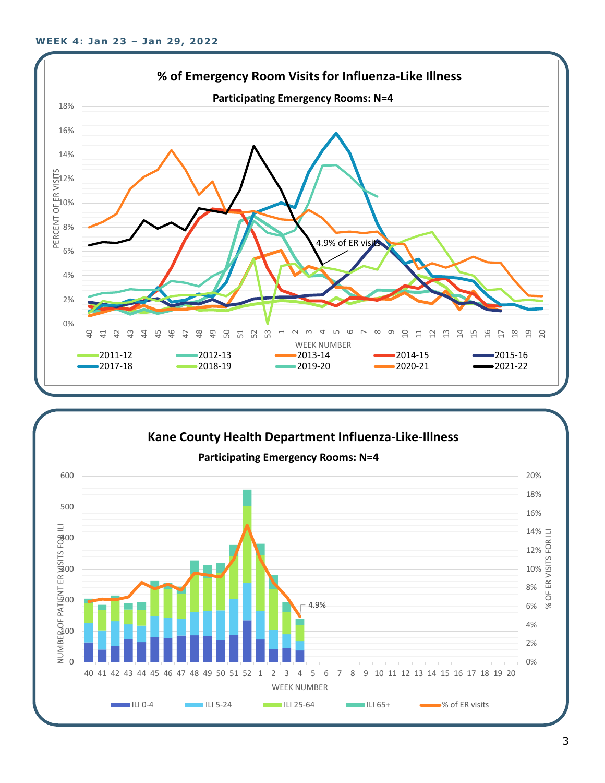

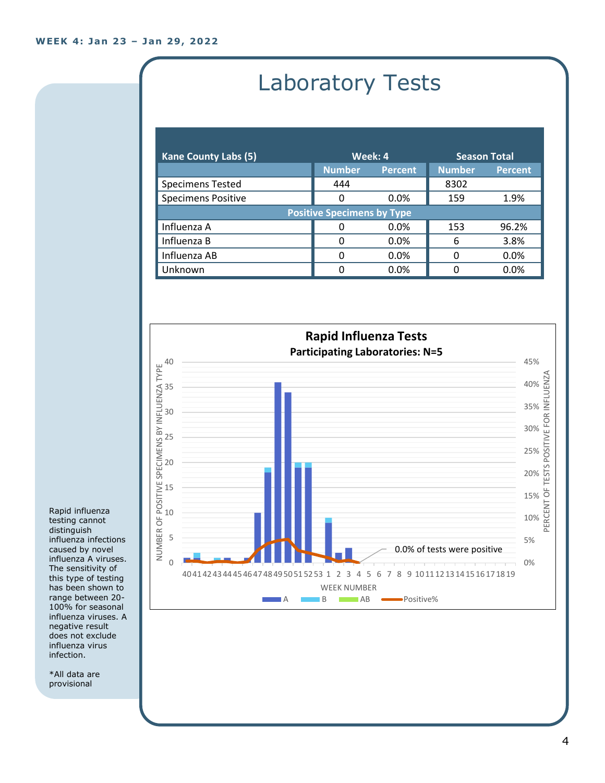# Laboratory Tests

| <b>Kane County Labs (5)</b>       | Week: 4       |                | <b>Season Total</b> |                |  |
|-----------------------------------|---------------|----------------|---------------------|----------------|--|
|                                   | <b>Number</b> | <b>Percent</b> | <b>Number</b>       | <b>Percent</b> |  |
| <b>Specimens Tested</b>           | 444           |                | 8302                |                |  |
| <b>Specimens Positive</b>         | 0             | $0.0\%$        | 159                 | 1.9%           |  |
| <b>Positive Specimens by Type</b> |               |                |                     |                |  |
| Influenza A                       |               | $0.0\%$        | 153                 | 96.2%          |  |
| Influenza B                       | O             | 0.0%           | 6                   | 3.8%           |  |
| Influenza AB                      | O             | $0.0\%$        | 0                   | 0.0%           |  |
| Unknown                           | ŋ             | 0.0%           |                     | 0.0%           |  |



Rapid influenza testing cannot distinguish influenza infections caused by novel influenza A viruses. The sensitivity of this type of testing has been shown to range between 20- 100% for seasonal influenza viruses. A negative result does not exclude influenza virus infection.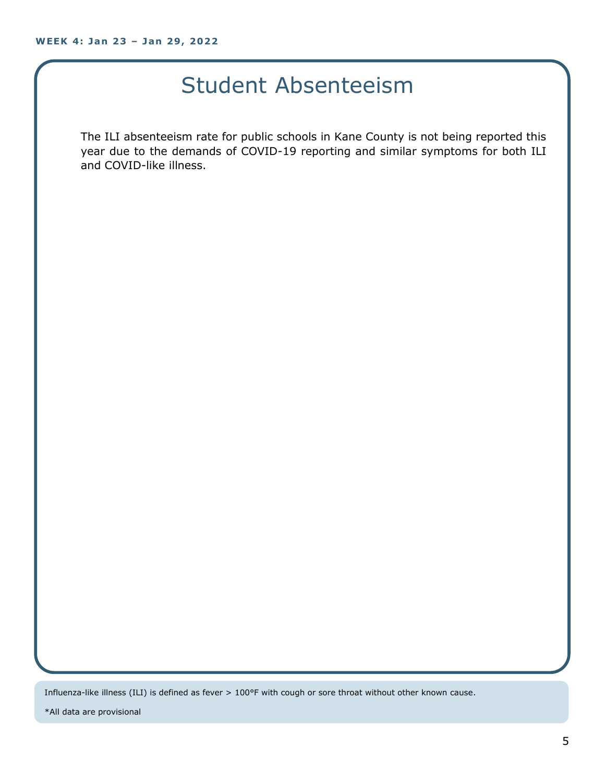### Student Absenteeism

The ILI absenteeism rate for public schools in Kane County is not being reported this year due to the demands of COVID-19 reporting and similar symptoms for both ILI and COVID-like illness.

Influenza-like illness (ILI) is defined as fever > 100°F with cough or sore throat without other known cause.